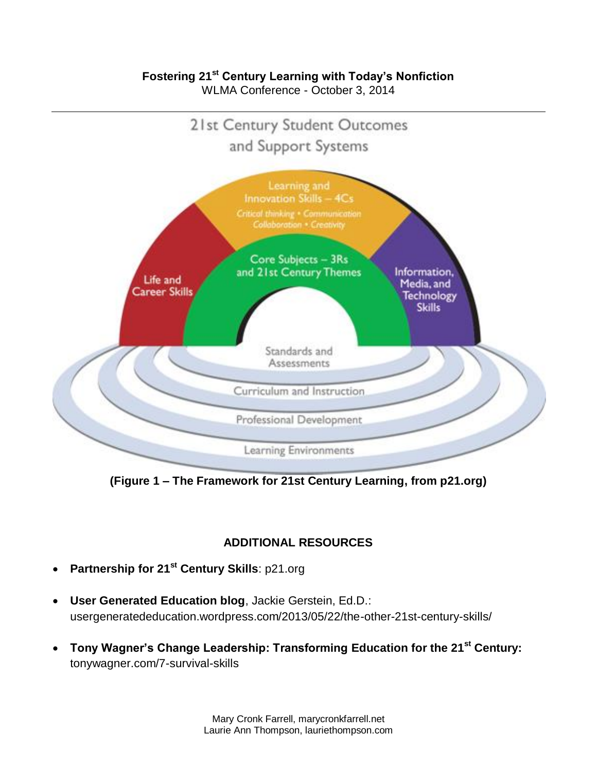### **Fostering 21st Century Learning with Today's Nonfiction** WLMA Conference - October 3, 2014

21st Century Student Outcomes and Support Systems



**(Figure 1 – The Framework for 21st Century Learning, from p21.org)**

# **ADDITIONAL RESOURCES**

- **Partnership for 21st Century Skills**: p21.org
- **User Generated Education blog**, Jackie Gerstein, Ed.D.: usergeneratededucation.wordpress.com/2013/05/22/the-other-21st-century-skills/
- **Tony Wagner's Change Leadership: Transforming Education for the 21st Century:** tonywagner.com/7-survival-skills